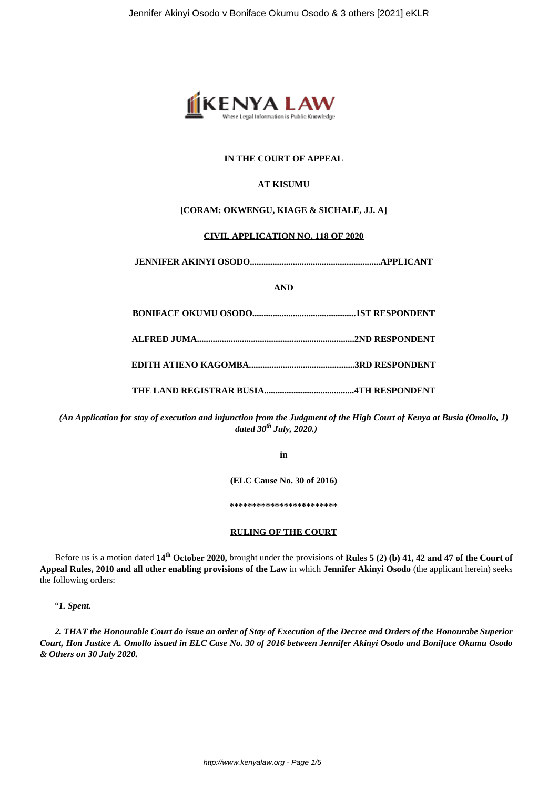

# **IN THE COURT OF APPEAL**

# **AT KISUMU**

## **[CORAM: OKWENGU, KIAGE & SICHALE, JJ. A]**

## **CIVIL APPLICATION NO. 118 OF 2020**

**JENNIFER AKINYI OSODO..........................................................APPLICANT**

**AND**

*(An Application for stay of execution and injunction from the Judgment of the High Court of Kenya at Busia (Omollo, J) dated 30th July, 2020.)*

**in**

**(ELC Cause No. 30 of 2016)**

**\*\*\*\*\*\*\*\*\*\*\*\*\*\*\*\*\*\*\*\*\*\*\*\***

### **RULING OF THE COURT**

Before us is a motion dated **14th October 2020,** brought under the provisions of **Rules 5 (2) (b) 41, 42 and 47 of the Court of Appeal Rules, 2010 and all other enabling provisions of the Law** in which **Jennifer Akinyi Osodo** (the applicant herein) seeks the following orders:

"*1. Spent.*

*2. THAT the Honourable Court do issue an order of Stay of Execution of the Decree and Orders of the Honourabe Superior Court, Hon Justice A. Omollo issued in ELC Case No. 30 of 2016 between Jennifer Akinyi Osodo and Boniface Okumu Osodo & Others on 30 July 2020.*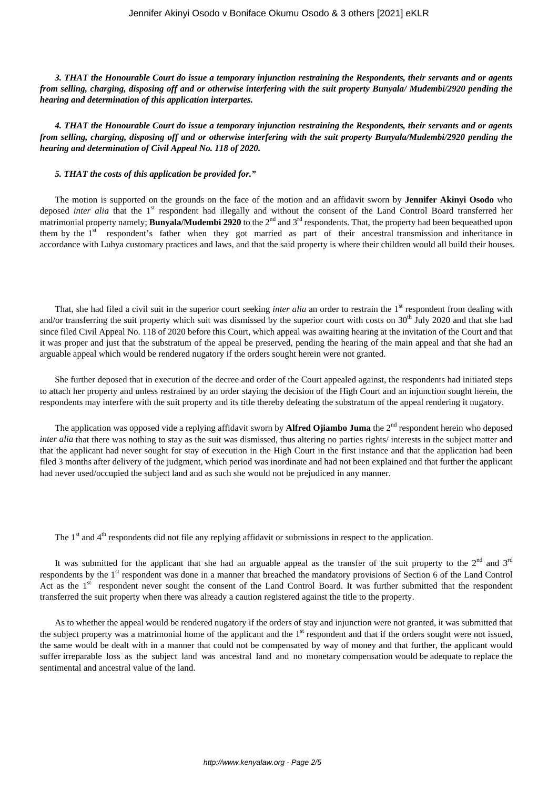*3. THAT the Honourable Court do issue a temporary injunction restraining the Respondents, their servants and or agents from selling, charging, disposing off and or otherwise interfering with the suit property Bunyala/ Mudembi/2920 pending the hearing and determination of this application interpartes.*

*4. THAT the Honourable Court do issue a temporary injunction restraining the Respondents, their servants and or agents from selling, charging, disposing off and or otherwise interfering with the suit property Bunyala/Mudembi/2920 pending the hearing and determination of Civil Appeal No. 118 of 2020.*

#### *5. THAT the costs of this application be provided for."*

The motion is supported on the grounds on the face of the motion and an affidavit sworn by **Jennifer Akinyi Osodo** who deposed *inter alia* that the 1<sup>st</sup> respondent had illegally and without the consent of the Land Control Board transferred her matrimonial property namely; **Bunyala/Mudembi 2920** to the 2<sup>nd</sup> and 3<sup>rd</sup> respondents. That, the property had been bequeathed upon them by the  $1<sup>st</sup>$  respondent's father when they got married as part of their ancestral transmission and inheritance in accordance with Luhya customary practices and laws, and that the said property is where their children would all build their houses.

That, she had filed a civil suit in the superior court seeking *inter alia* an order to restrain the 1<sup>st</sup> respondent from dealing with and/or transferring the suit property which suit was dismissed by the superior court with costs on  $30<sup>th</sup>$  July 2020 and that she had since filed Civil Appeal No. 118 of 2020 before this Court, which appeal was awaiting hearing at the invitation of the Court and that it was proper and just that the substratum of the appeal be preserved, pending the hearing of the main appeal and that she had an arguable appeal which would be rendered nugatory if the orders sought herein were not granted.

She further deposed that in execution of the decree and order of the Court appealed against, the respondents had initiated steps to attach her property and unless restrained by an order staying the decision of the High Court and an injunction sought herein, the respondents may interfere with the suit property and its title thereby defeating the substratum of the appeal rendering it nugatory.

The application was opposed vide a replying affidavit sworn by **Alfred Ojiambo Juma** the 2<sup>nd</sup> respondent herein who deposed *inter alia* that there was nothing to stay as the suit was dismissed, thus altering no parties rights/ interests in the subject matter and that the applicant had never sought for stay of execution in the High Court in the first instance and that the application had been filed 3 months after delivery of the judgment, which period was inordinate and had not been explained and that further the applicant had never used/occupied the subject land and as such she would not be prejudiced in any manner.

The 1<sup>st</sup> and 4<sup>th</sup> respondents did not file any replying affidavit or submissions in respect to the application.

It was submitted for the applicant that she had an arguable appeal as the transfer of the suit property to the  $2<sup>nd</sup>$  and  $3<sup>rd</sup>$ respondents by the 1<sup>st</sup> respondent was done in a manner that breached the mandatory provisions of Section 6 of the Land Control Act as the  $1<sup>st</sup>$  respondent never sought the consent of the Land Control Board. It was further submitted that the respondent transferred the suit property when there was already a caution registered against the title to the property.

As to whether the appeal would be rendered nugatory if the orders of stay and injunction were not granted, it was submitted that the subject property was a matrimonial home of the applicant and the  $1<sup>st</sup>$  respondent and that if the orders sought were not issued, the same would be dealt with in a manner that could not be compensated by way of money and that further, the applicant would suffer irreparable loss as the subject land was ancestral land and no monetary compensation would be adequate to replace the sentimental and ancestral value of the land.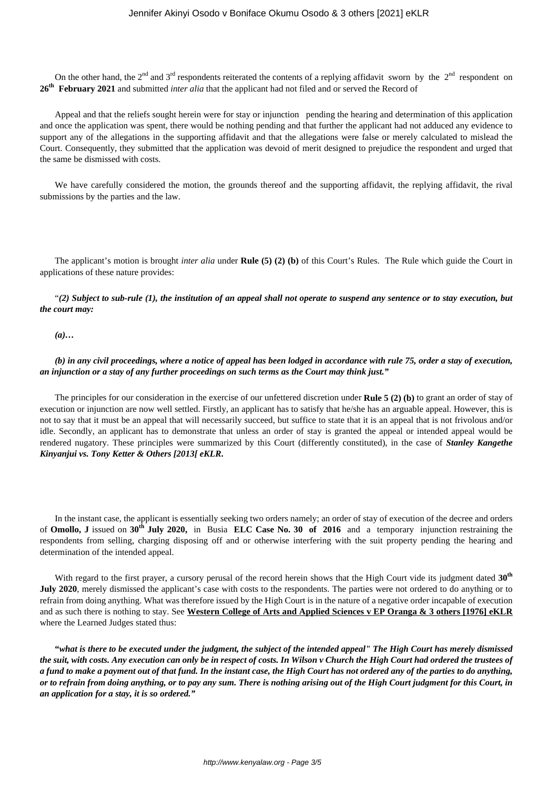On the other hand, the  $2^{nd}$  and  $3^{rd}$  respondents reiterated the contents of a replying affidavit sworn by the  $2^{nd}$  respondent on 26<sup>th</sup> February 2021 and submitted *inter alia* that the applicant had not filed and or served the Record of

Appeal and that the reliefs sought herein were for stay or injunction pending the hearing and determination of this application and once the application was spent, there would be nothing pending and that further the applicant had not adduced any evidence to support any of the allegations in the supporting affidavit and that the allegations were false or merely calculated to mislead the Court. Consequently, they submitted that the application was devoid of merit designed to prejudice the respondent and urged that the same be dismissed with costs.

We have carefully considered the motion, the grounds thereof and the supporting affidavit, the replying affidavit, the rival submissions by the parties and the law.

The applicant's motion is brought *inter alia* under **Rule (5) (2) (b)** of this Court's Rules. The Rule which guide the Court in applications of these nature provides:

"*(2) Subject to sub-rule (1), the institution of an appeal shall not operate to suspend any sentence or to stay execution, but the court may:*

*(a)…*

*(b) in any civil proceedings, where a notice of appeal has been lodged in accordance with rule 75, order a stay of execution, an injunction or a stay of any further proceedings on such terms as the Court may think just."*

The principles for our consideration in the exercise of our unfettered discretion under **Rule 5 (2) (b)** to grant an order of stay of execution or injunction are now well settled. Firstly, an applicant has to satisfy that he/she has an arguable appeal. However, this is not to say that it must be an appeal that will necessarily succeed, but suffice to state that it is an appeal that is not frivolous and/or idle. Secondly, an applicant has to demonstrate that unless an order of stay is granted the appeal or intended appeal would be rendered nugatory. These principles were summarized by this Court (differently constituted), in the case of *Stanley Kangethe Kinyanjui vs. Tony Ketter & Others [2013[ eKLR***.**

In the instant case, the applicant is essentially seeking two orders namely; an order of stay of execution of the decree and orders of **Omollo, J** issued on **30th July 2020,** in Busia **ELC Case No. 30 of 2016** and a temporary injunction restraining the respondents from selling, charging disposing off and or otherwise interfering with the suit property pending the hearing and determination of the intended appeal.

With regard to the first prayer, a cursory perusal of the record herein shows that the High Court vide its judgment dated **30th July 2020**, merely dismissed the applicant's case with costs to the respondents. The parties were not ordered to do anything or to refrain from doing anything. What was therefore issued by the High Court is in the nature of a negative order incapable of execution and as such there is nothing to stay. See **Western College of Arts and Applied Sciences v EP Oranga & 3 others [1976] eKLR** where the Learned Judges stated thus:

**"***what is there to be executed under the judgment, the subject of the intended appeal" The High Court has merely dismissed the suit, with costs. Any execution can only be in respect of costs. In Wilson v Church the High Court had ordered the trustees of a fund to make a payment out of that fund. In the instant case, the High Court has not ordered any of the parties to do anything, or to refrain from doing anything, or to pay any sum. There is nothing arising out of the High Court judgment for this Court, in an application for a stay, it is so ordered."*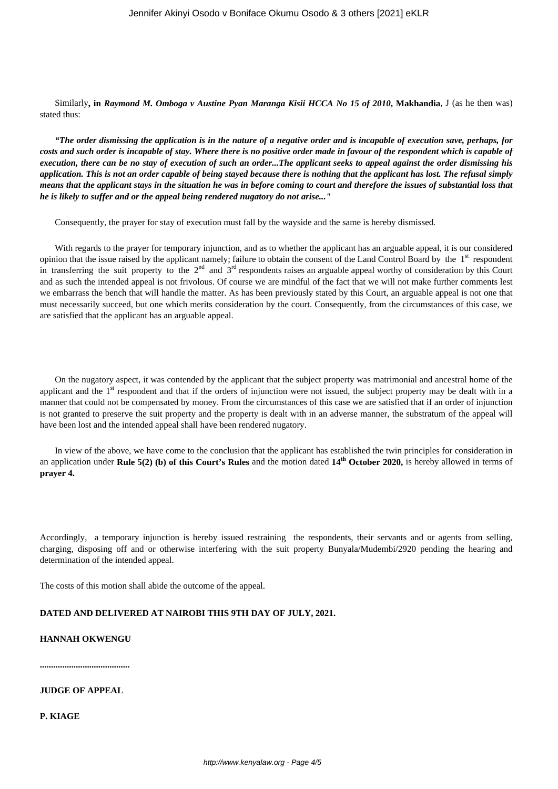Similarly**, in** *Raymond M. Omboga v Austine Pyan Maranga Kisii HCCA No 15 of 2010***, Makhandia**, J (as he then was) stated thus:

*"The order dismissing the application is in the nature of a negative order and is incapable of execution save, perhaps, for costs and such order is incapable of stay. Where there is no positive order made in favour of the respondent which is capable of execution, there can be no stay of execution of such an order...The applicant seeks to appeal against the order dismissing his application. This is not an order capable of being stayed because there is nothing that the applicant has lost. The refusal simply means that the applicant stays in the situation he was in before coming to court and therefore the issues of substantial loss that he is likely to suffer and or the appeal being rendered nugatory do not arise..."*

Consequently, the prayer for stay of execution must fall by the wayside and the same is hereby dismissed.

With regards to the prayer for temporary injunction, and as to whether the applicant has an arguable appeal, it is our considered opinion that the issue raised by the applicant namely; failure to obtain the consent of the Land Control Board by the 1<sup>st</sup> respondent in transferring the suit property to the  $2<sup>nd</sup>$  and  $3<sup>rd</sup>$  respondents raises an arguable appeal worthy of consideration by this Court and as such the intended appeal is not frivolous. Of course we are mindful of the fact that we will not make further comments lest we embarrass the bench that will handle the matter. As has been previously stated by this Court, an arguable appeal is not one that must necessarily succeed, but one which merits consideration by the court. Consequently, from the circumstances of this case, we are satisfied that the applicant has an arguable appeal.

On the nugatory aspect, it was contended by the applicant that the subject property was matrimonial and ancestral home of the applicant and the  $1<sup>st</sup>$  respondent and that if the orders of injunction were not issued, the subject property may be dealt with in a manner that could not be compensated by money. From the circumstances of this case we are satisfied that if an order of injunction is not granted to preserve the suit property and the property is dealt with in an adverse manner, the substratum of the appeal will have been lost and the intended appeal shall have been rendered nugatory.

In view of the above, we have come to the conclusion that the applicant has established the twin principles for consideration in an application under **Rule 5(2) (b) of this Court's Rules** and the motion dated **14th October 2020,** is hereby allowed in terms of **prayer 4.**

Accordingly, a temporary injunction is hereby issued restraining the respondents, their servants and or agents from selling, charging, disposing off and or otherwise interfering with the suit property Bunyala/Mudembi/2920 pending the hearing and determination of the intended appeal.

The costs of this motion shall abide the outcome of the appeal.

## **DATED AND DELIVERED AT NAIROBI THIS 9TH DAY OF JULY, 2021.**

### **HANNAH OKWENGU**

**........................................**

# **JUDGE OF APPEAL**

**P. KIAGE**